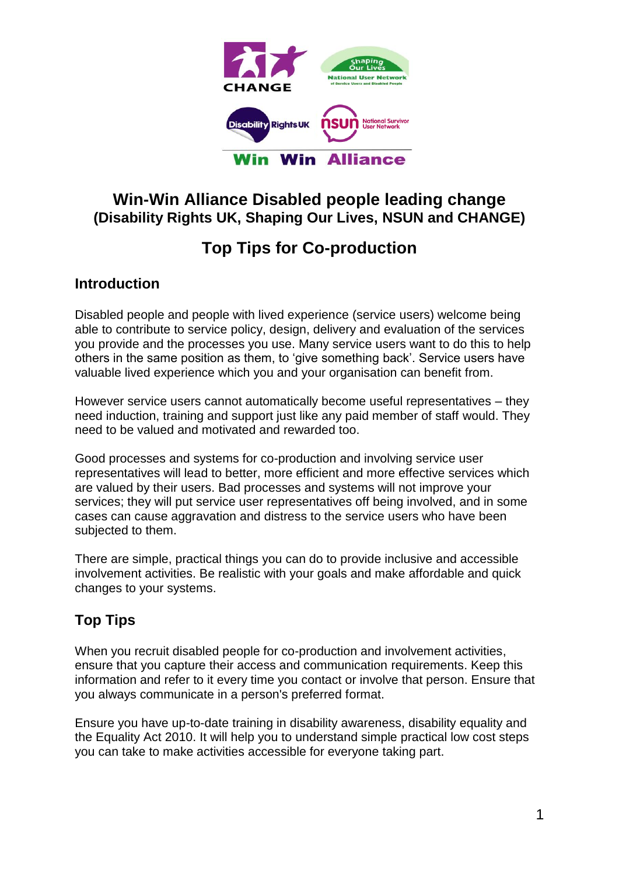

## **Win-Win Alliance Disabled people leading change (Disability Rights UK, Shaping Our Lives, NSUN and CHANGE)**

## **Top Tips for Co-production**

## **Introduction**

Disabled people and people with lived experience (service users) welcome being able to contribute to service policy, design, delivery and evaluation of the services you provide and the processes you use. Many service users want to do this to help others in the same position as them, to 'give something back'. Service users have valuable lived experience which you and your organisation can benefit from.

However service users cannot automatically become useful representatives – they need induction, training and support just like any paid member of staff would. They need to be valued and motivated and rewarded too.

Good processes and systems for co-production and involving service user representatives will lead to better, more efficient and more effective services which are valued by their users. Bad processes and systems will not improve your services; they will put service user representatives off being involved, and in some cases can cause aggravation and distress to the service users who have been subjected to them.

There are simple, practical things you can do to provide inclusive and accessible involvement activities. Be realistic with your goals and make affordable and quick changes to your systems.

## **Top Tips**

When you recruit disabled people for co-production and involvement activities, ensure that you capture their access and communication requirements. Keep this information and refer to it every time you contact or involve that person. Ensure that you always communicate in a person's preferred format.

Ensure you have up-to-date training in disability awareness, disability equality and the Equality Act 2010. It will help you to understand simple practical low cost steps you can take to make activities accessible for everyone taking part.